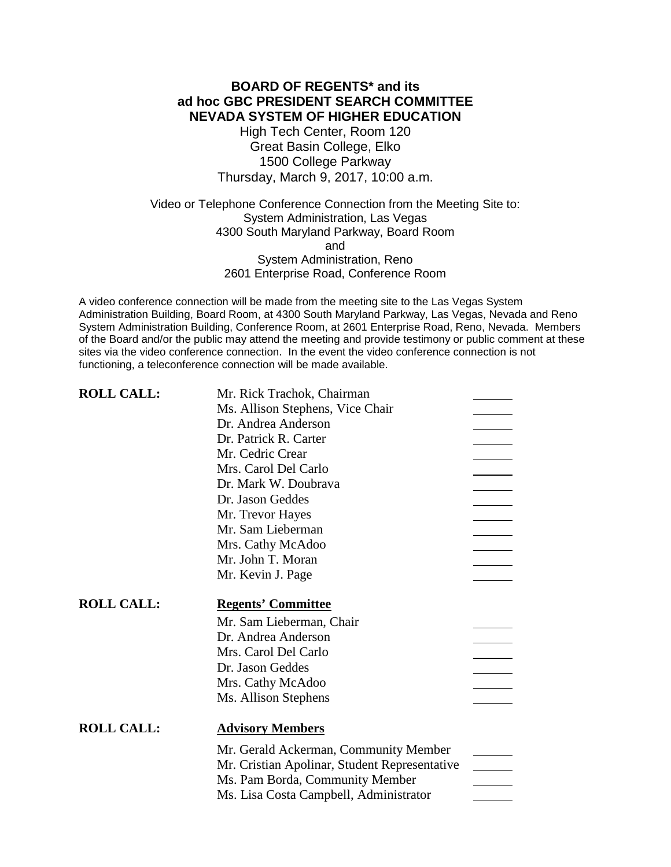## **BOARD OF REGENTS\* and its ad hoc GBC PRESIDENT SEARCH COMMITTEE NEVADA SYSTEM OF HIGHER EDUCATION**

High Tech Center, Room 120 Great Basin College, Elko 1500 College Parkway Thursday, March 9, 2017, 10:00 a.m.

Video or Telephone Conference Connection from the Meeting Site to: System Administration, Las Vegas 4300 South Maryland Parkway, Board Room and System Administration, Reno 2601 Enterprise Road, Conference Room

A video conference connection will be made from the meeting site to the Las Vegas System Administration Building, Board Room, at 4300 South Maryland Parkway, Las Vegas, Nevada and Reno System Administration Building, Conference Room, at 2601 Enterprise Road, Reno, Nevada. Members of the Board and/or the public may attend the meeting and provide testimony or public comment at these sites via the video conference connection. In the event the video conference connection is not functioning, a teleconference connection will be made available.

| <b>ROLL CALL:</b> | Mr. Rick Trachok, Chairman                                                       |  |
|-------------------|----------------------------------------------------------------------------------|--|
|                   | Ms. Allison Stephens, Vice Chair                                                 |  |
|                   | Dr. Andrea Anderson                                                              |  |
|                   | Dr. Patrick R. Carter                                                            |  |
|                   | Mr. Cedric Crear                                                                 |  |
|                   | Mrs. Carol Del Carlo                                                             |  |
|                   | Dr. Mark W. Doubrava                                                             |  |
|                   | Dr. Jason Geddes                                                                 |  |
|                   | Mr. Trevor Hayes                                                                 |  |
|                   | Mr. Sam Lieberman                                                                |  |
|                   | Mrs. Cathy McAdoo                                                                |  |
|                   | Mr. John T. Moran                                                                |  |
|                   | Mr. Kevin J. Page                                                                |  |
| <b>ROLL CALL:</b> | <b>Regents' Committee</b>                                                        |  |
|                   | Mr. Sam Lieberman, Chair                                                         |  |
|                   | Dr. Andrea Anderson                                                              |  |
|                   | Mrs. Carol Del Carlo                                                             |  |
|                   | Dr. Jason Geddes                                                                 |  |
|                   | Mrs. Cathy McAdoo                                                                |  |
|                   | Ms. Allison Stephens                                                             |  |
| <b>ROLL CALL:</b> |                                                                                  |  |
|                   | <b>Advisory Members</b>                                                          |  |
|                   |                                                                                  |  |
|                   | Mr. Gerald Ackerman, Community Member                                            |  |
|                   | Mr. Cristian Apolinar, Student Representative<br>Ms. Pam Borda, Community Member |  |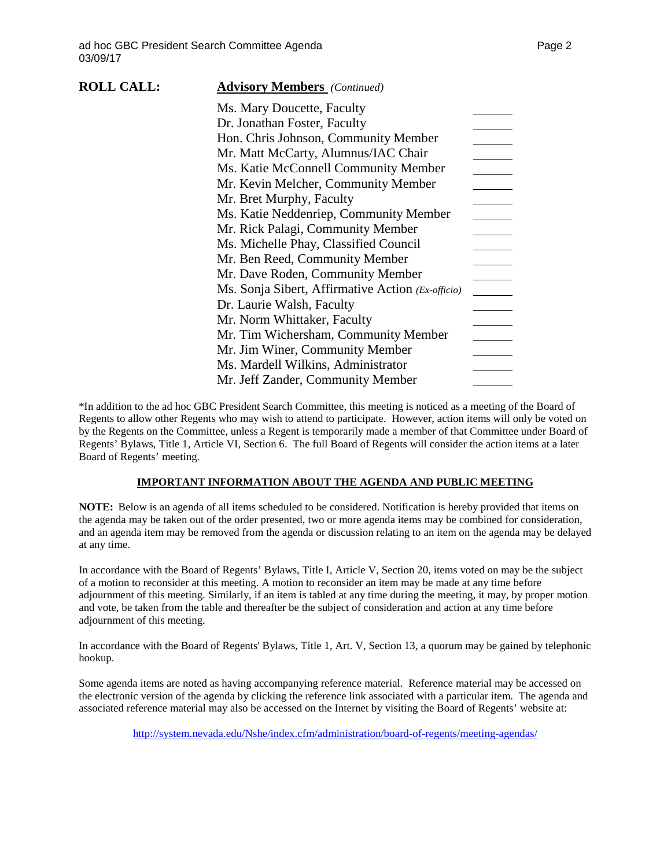| <b>ROLL CALL:</b> | <b>Advisory Members</b> (Continued)               |  |
|-------------------|---------------------------------------------------|--|
|                   | Ms. Mary Doucette, Faculty                        |  |
|                   | Dr. Jonathan Foster, Faculty                      |  |
|                   | Hon. Chris Johnson, Community Member              |  |
|                   | Mr. Matt McCarty, Alumnus/IAC Chair               |  |
|                   | Ms. Katie McConnell Community Member              |  |
|                   | Mr. Kevin Melcher, Community Member               |  |
|                   | Mr. Bret Murphy, Faculty                          |  |
|                   | Ms. Katie Neddenriep, Community Member            |  |
|                   | Mr. Rick Palagi, Community Member                 |  |
|                   | Ms. Michelle Phay, Classified Council             |  |
|                   | Mr. Ben Reed, Community Member                    |  |
|                   | Mr. Dave Roden, Community Member                  |  |
|                   | Ms. Sonja Sibert, Affirmative Action (Ex-officio) |  |
|                   | Dr. Laurie Walsh, Faculty                         |  |
|                   | Mr. Norm Whittaker, Faculty                       |  |
|                   | Mr. Tim Wichersham, Community Member              |  |
|                   | Mr. Jim Winer, Community Member                   |  |
|                   | Ms. Mardell Wilkins, Administrator                |  |
|                   | Mr. Jeff Zander, Community Member                 |  |

\*In addition to the ad hoc GBC President Search Committee, this meeting is noticed as a meeting of the Board of Regents to allow other Regents who may wish to attend to participate. However, action items will only be voted on by the Regents on the Committee, unless a Regent is temporarily made a member of that Committee under Board of Regents' Bylaws, Title 1, Article VI, Section 6. The full Board of Regents will consider the action items at a later Board of Regents' meeting.

### **IMPORTANT INFORMATION ABOUT THE AGENDA AND PUBLIC MEETING**

**NOTE:** Below is an agenda of all items scheduled to be considered. Notification is hereby provided that items on the agenda may be taken out of the order presented, two or more agenda items may be combined for consideration, and an agenda item may be removed from the agenda or discussion relating to an item on the agenda may be delayed at any time.

In accordance with the Board of Regents' Bylaws, Title I, Article V, Section 20, items voted on may be the subject of a motion to reconsider at this meeting. A motion to reconsider an item may be made at any time before adjournment of this meeting. Similarly, if an item is tabled at any time during the meeting, it may, by proper motion and vote, be taken from the table and thereafter be the subject of consideration and action at any time before adjournment of this meeting.

In accordance with the Board of Regents' Bylaws, Title 1, Art. V, Section 13, a quorum may be gained by telephonic hookup.

Some agenda items are noted as having accompanying reference material. Reference material may be accessed on the electronic version of the agenda by clicking the reference link associated with a particular item. The agenda and associated reference material may also be accessed on the Internet by visiting the Board of Regents' website at:

<http://system.nevada.edu/Nshe/index.cfm/administration/board-of-regents/meeting-agendas/>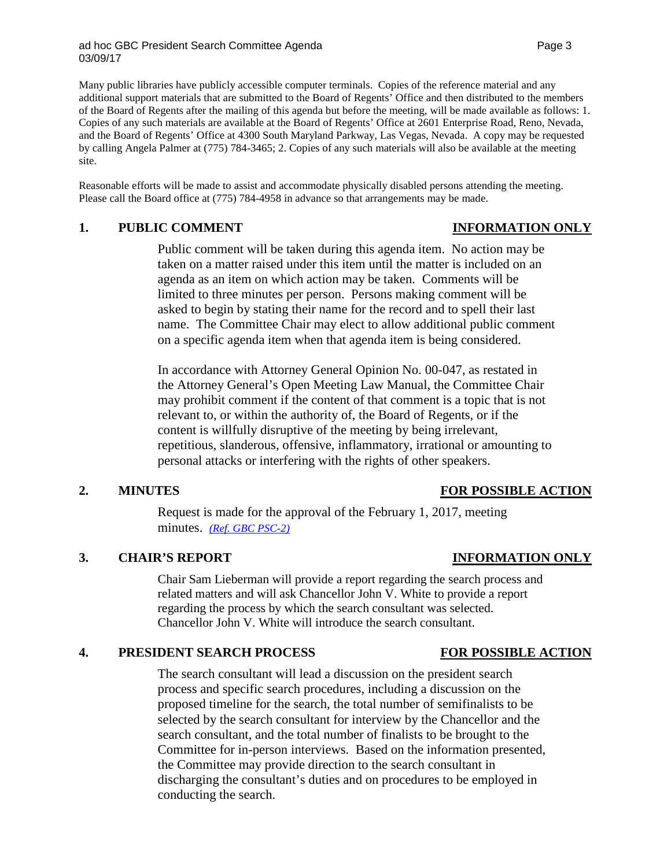Many public libraries have publicly accessible computer terminals. Copies of the reference material and any additional support materials that are submitted to the Board of Regents' Office and then distributed to the members of the Board of Regents after the mailing of this agenda but before the meeting, will be made available as follows: 1. Copies of any such materials are available at the Board of Regents' Office at 2601 Enterprise Road, Reno, Nevada, and the Board of Regents' Office at 4300 South Maryland Parkway, Las Vegas, Nevada. A copy may be requested by calling Angela Palmer at (775) 784-3465; 2. Copies of any such materials will also be available at the meeting site.

Reasonable efforts will be made to assist and accommodate physically disabled persons attending the meeting. Please call the Board office at (775) 784-4958 in advance so that arrangements may be made.

## **1. PUBLIC COMMENT INFORMATION ONLY**

Public comment will be taken during this agenda item. No action may be taken on a matter raised under this item until the matter is included on an agenda as an item on which action may be taken. Comments will be limited to three minutes per person. Persons making comment will be asked to begin by stating their name for the record and to spell their last name. The Committee Chair may elect to allow additional public comment on a specific agenda item when that agenda item is being considered.

In accordance with Attorney General Opinion No. 00-047, as restated in the Attorney General's Open Meeting Law Manual, the Committee Chair may prohibit comment if the content of that comment is a topic that is not relevant to, or within the authority of, the Board of Regents, or if the content is willfully disruptive of the meeting by being irrelevant, repetitious, slanderous, offensive, inflammatory, irrational or amounting to personal attacks or interfering with the rights of other speakers.

### **2. MINUTES FOR POSSIBLE ACTION**

Request is made for the approval of the February 1, 2017, meeting minutes. *[\(Ref. GBC PSC-2\)](http://system.nevada.edu/tasks/sites/Nshe/assets/File/BoardOfRegents/Agendas/2017/mar-mtgs/gbcpsc-refs/GBC%20PSC-2.pdf)*

# **3. CHAIR'S REPORT INFORMATION ONLY**

Chair Sam Lieberman will provide a report regarding the search process and related matters and will ask Chancellor John V. White to provide a report regarding the process by which the search consultant was selected. Chancellor John V. White will introduce the search consultant.

# **4. PRESIDENT SEARCH PROCESS FOR POSSIBLE ACTION**

The search consultant will lead a discussion on the president search process and specific search procedures, including a discussion on the proposed timeline for the search, the total number of semifinalists to be selected by the search consultant for interview by the Chancellor and the search consultant, and the total number of finalists to be brought to the Committee for in-person interviews. Based on the information presented, the Committee may provide direction to the search consultant in discharging the consultant's duties and on procedures to be employed in conducting the search.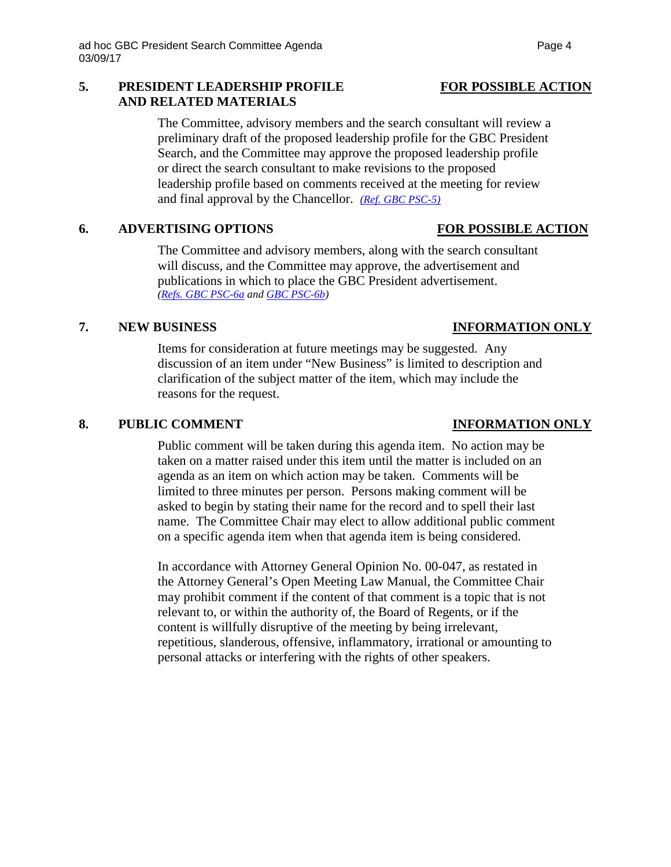### **5. PRESIDENT LEADERSHIP PROFILE FOR POSSIBLE ACTION AND RELATED MATERIALS**

The Committee, advisory members and the search consultant will review a preliminary draft of the proposed leadership profile for the GBC President Search, and the Committee may approve the proposed leadership profile or direct the search consultant to make revisions to the proposed leadership profile based on comments received at the meeting for review and final approval by the Chancellor. *[\(Ref. GBC PSC-5\)](http://system.nevada.edu/tasks/sites/Nshe/assets/File/BoardOfRegents/Agendas/2017/mar-mtgs/gbcpsc-refs/GBC%20PSC-5.pdf)*

# **6. ADVERTISING OPTIONS FOR POSSIBLE ACTION**

The Committee and advisory members, along with the search consultant will discuss, and the Committee may approve, the advertisement and publications in which to place the GBC President advertisement. *[\(Refs. GBC](http://system.nevada.edu/tasks/sites/Nshe/assets/File/BoardOfRegents/Agendas/2017/mar-mtgs/gbcpsc-refs/GBC%20PSC-6a.pdf) PSC-6a and [GBC PSC-6b\)](http://system.nevada.edu/tasks/sites/Nshe/assets/File/BoardOfRegents/Agendas/2017/mar-mtgs/gbcpsc-refs/GBC%20PSC-6b.pdf)*

## **7. NEW BUSINESS INFORMATION ONLY**

Items for consideration at future meetings may be suggested. Any discussion of an item under "New Business" is limited to description and clarification of the subject matter of the item, which may include the reasons for the request.

## **8. PUBLIC COMMENT INFORMATION ONLY**

Public comment will be taken during this agenda item. No action may be taken on a matter raised under this item until the matter is included on an agenda as an item on which action may be taken. Comments will be limited to three minutes per person. Persons making comment will be asked to begin by stating their name for the record and to spell their last name. The Committee Chair may elect to allow additional public comment on a specific agenda item when that agenda item is being considered.

In accordance with Attorney General Opinion No. 00-047, as restated in the Attorney General's Open Meeting Law Manual, the Committee Chair may prohibit comment if the content of that comment is a topic that is not relevant to, or within the authority of, the Board of Regents, or if the content is willfully disruptive of the meeting by being irrelevant, repetitious, slanderous, offensive, inflammatory, irrational or amounting to personal attacks or interfering with the rights of other speakers.